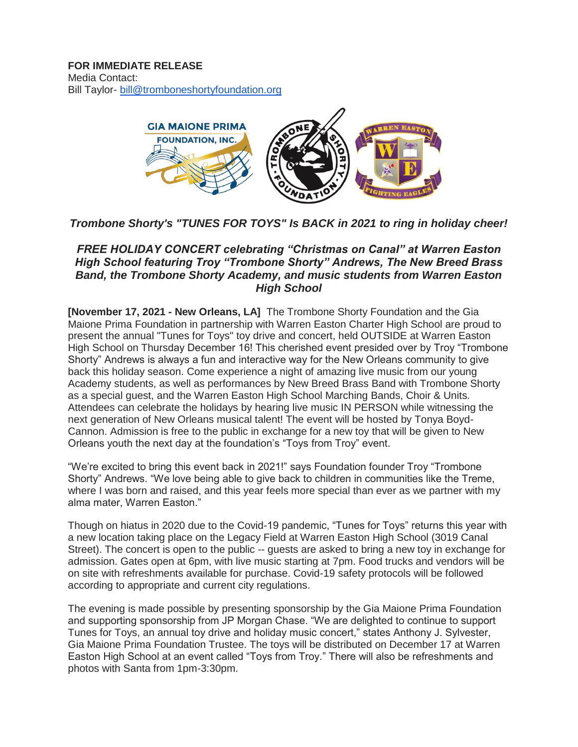

# *Trombone Shorty's "TUNES FOR TOYS" Is BACK in 2021 to ring in holiday cheer!*

## *FREE HOLIDAY CONCERT celebrating "Christmas on Canal" at Warren Easton High School featuring Troy "Trombone Shorty" Andrews, The New Breed Brass Band, the Trombone Shorty Academy, and music students from Warren Easton High School*

**[November 17, 2021 - New Orleans, LA]** The Trombone Shorty Foundation and the Gia Maione Prima Foundation in partnership with Warren Easton Charter High School are proud to present the annual "Tunes for Toys" toy drive and concert, held OUTSIDE at Warren Easton High School on Thursday December 16! This cherished event presided over by Troy "Trombone Shorty" Andrews is always a fun and interactive way for the New Orleans community to give back this holiday season. Come experience a night of amazing live music from our young Academy students, as well as performances by New Breed Brass Band with Trombone Shorty as a special guest, and the Warren Easton High School Marching Bands, Choir & Units. Attendees can celebrate the holidays by hearing live music IN PERSON while witnessing the next generation of New Orleans musical talent! The event will be hosted by Tonya Boyd-Cannon. Admission is free to the public in exchange for a new toy that will be given to New Orleans youth the next day at the foundation's "Toys from Troy" event.

"We're excited to bring this event back in 2021!" says Foundation founder Troy "Trombone Shorty" Andrews. "We love being able to give back to children in communities like the Treme, where I was born and raised, and this year feels more special than ever as we partner with my alma mater, Warren Easton."

Though on hiatus in 2020 due to the Covid-19 pandemic, "Tunes for Toys" returns this year with a new location taking place on the Legacy Field at Warren Easton High School (3019 Canal Street). The concert is open to the public -- guests are asked to bring a new toy in exchange for admission. Gates open at 6pm, with live music starting at 7pm. Food trucks and vendors will be on site with refreshments available for purchase. Covid-19 safety protocols will be followed according to appropriate and current city regulations.

The evening is made possible by presenting sponsorship by the Gia Maione Prima Foundation and supporting sponsorship from JP Morgan Chase. "We are delighted to continue to support Tunes for Toys, an annual toy drive and holiday music concert," states Anthony J. Sylvester, Gia Maione Prima Foundation Trustee. The toys will be distributed on December 17 at Warren Easton High School at an event called "Toys from Troy." There will also be refreshments and photos with Santa from 1pm-3:30pm.